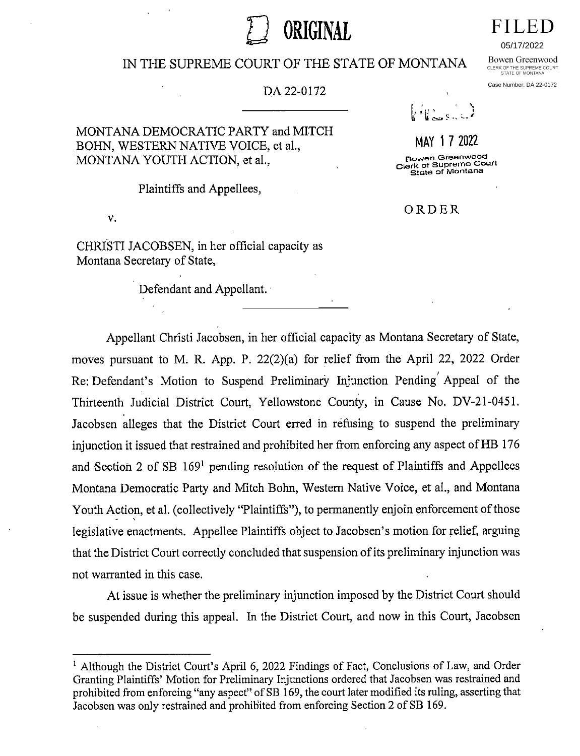# ORIGINAL

## IN THE SUPREME COURT OF THE STATE OF MONTANA

#### DA 22-0172

## MONTANA DEMOCRATIC PARTY and MITCH BOHN, WESTERN NATIVE VOICE, et al., MONTANA YOUTH ACTION, et al.,

Plaintiffs and Appellees,

v.

CHRISTI JACOBSEN, in her official capacity as Montana Secretary of State,

Defendant and Appellant.



# MAY 1 7 2022

Bowen Greenwood<br>Clerk of Supreme Court State of Montana

ORDER

Appellant Christi Jacobsen, in her official capacity as Montana Secretary of State, moves pursuant to M. R. App. P. 22(2)(a) for relief from the April 22, 2022 Order Re: Defendant's Motion to Suspend Preliminary Injunction Pending Appeal of the Thirteenth Judicial District Court, Yellowstone County, in Cause No. DV-21-0451. Jacobsen alleges that the District Court erred in refusing to suspend the preliminary injunction it issued that restrained and prohibited her from enforcing any aspect of HB 176 and Section 2 of SB 169' pending resolution of the request of Plaintiffs and Appellees Montana Democratic Party and Mitch Bohn, Westem Native Voice, et al., and Montana Youth Action, et al. (collectively "Plaintiffs"), to permanently enjoin enforcement of those legislative enactments. Appellee Plaintiffs object to Jacobsen's motion for relief, arguing that the District Court correctly concluded that suspension of its preliminary injunction was not warranted in this case.

At issue is whether the preliminary injunction imposed by the District Court should be suspended during this appeal. In the District Court, and now in this Court, Jacobsen

05/17/2022

Bowen Greenwood CLERK OF THE SUPREME COURT<br>STATE OF MONTANA

Case Number: DA 22-0172

<sup>&</sup>lt;sup>1</sup> Although the District Court's April 6, 2022 Findings of Fact, Conclusions of Law, and Order Granting Plaintiffs' Motion for Preliminary Injunctions ordered that Jacobsen was restrained and prohibited from enforcing "any aspect" of SB 169, the court later modified its ruling, asserting that Jacobsen was only restrained and prohibited from enforcing Section 2 of SB 169.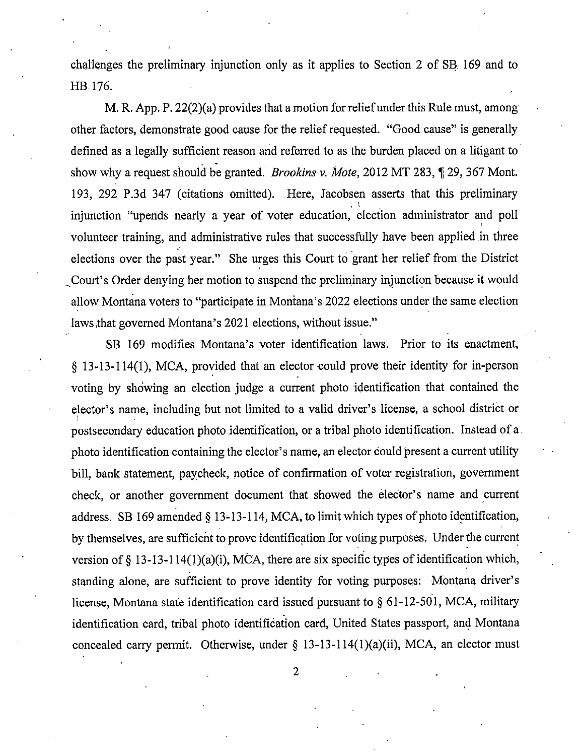challenges the preliminary injunction only as it applies to Section 2 of SB 169 and to HB 176.

M. R. App. P. 22(2)(a) provides that a motion for relief under this Rule must, among other factors, demonstrate good cause for the relief requested. "Good cause" is generally defined as a legally sufficient reason and referred to as the burden placed on a litigant to show why a request should be granted. *Brookins v. Mote*, 2012 MT 283, ¶ 29, 367 Mont. 193, 292 P.3d 347 (citations omitted). Here, Jacobsen asserts that this preliminary injunction "upends nearly a year of voter education, election administrator and poll volunteer training, and administrative rules that successfully have been applied in three elections over the past year." She urges this Court to grant her relief from the District Court's Order denying her motion to suspend the preliminary injunction because it would allow Montana voters to "participate in Montana's 2022 elections under the same election laws that governed Montana's 2021 elections, without issue."

SB 169 modifies Montana's voter identification laws. Prior to its enactment, § 13-13-114(1), MCA, provided that an elector could prove their identity for in-person voting by showing an election judge a current photo identification that contained the elector's name, including but not limited to a valid driver's license, a school district or postsecondary education photo identification, or a tribal photo identification. Instead of a. photo identification containing the elector's name, an elector could present a current utility bill, bank statement, paycheck, notice of confirmation of voter registration, government check, or another government document that showed the elector's name and current address.. SB 169 amended § 13-13-114, MCA, to limit which types of photo identification, by themselves, are sufficient to prove identification for voting purposes. Under the current version of § 13-13-114(1)(a)(i), MCA, there are six specific types of identification which, standing alone, are sufficient to prove identity for voting purposes: Montana driver's license, Montana state identification card issued pursuant to § 61-12-501, MCA, military identification card, tribal photo identification card, United States passport, and Montana concealed carry permit. Otherwise, under  $\S$  13-13-114(1)(a)(ii), MCA, an elector must

2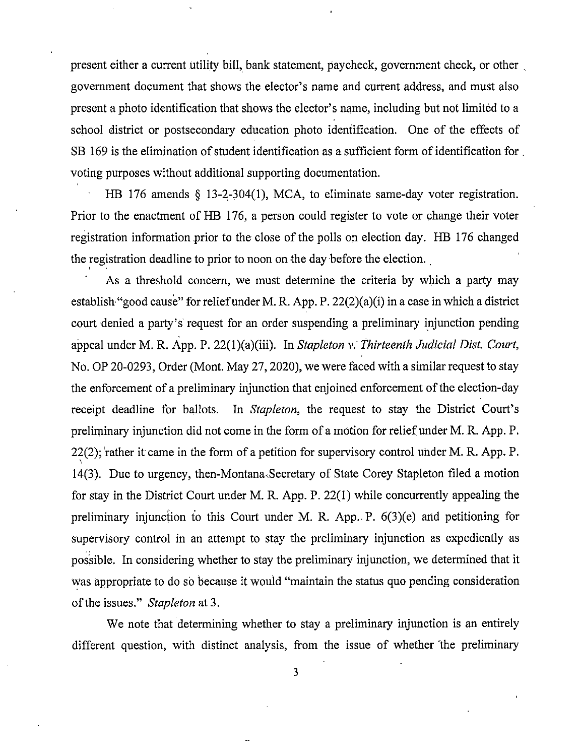present either a current utility bill, bank statement, paycheck, government check, or other government document that shows the elector's name and current address, and must also present a photo identification that shows the elector's name, including but not limited to a school district or postsecondary education photo identification. One of the effects of SB 169 is the elimination of student identification as a sufficient form of identification for , voting purposes without additional supporting documentation.

HB 176 amends § 13-2-304(1), MCA, to eliminate same-day voter registration. Prior to the enactment of HB 176, a person could register to vote or change their voter registration information prior to the close of the polls on election day. HB 176 changed the registration deadline to prior to noon on the day before the election.

As a threshold concern, we must determine the criteria by which a party may establish "good cause" for relief under M. R. App. P. 22(2)(a)(i) in a case in which a district court denied a party's request for an order suspending a preliminary injunction pending appeal under M. R. App. P. 22(1)(a)(iii). In Stapleton v. Thirteenth Judicial Dist. Court, No. OP 20-0293, Order (Mont. May 27, 2020), we were faced with a similar request to stay the enforcement of a preliminary injunction that enjoined enforcement of the election-day receipt deadline for ballots. In Stapleton, the request to stay the District Court's preliminary injunction did not come in the form of a motion for relief under M. R. App. P. 22(2); 'rather it came in the form of a petition for supervisory control under M. R. App. P. 14(3). Due to urgency, then-Montana'Secretary of State Corey Stapleton filed a motion for stay in the District Court under M. R. App. P. 22(1) while concurrently appealing the preliminary injunction to this Court under M. R. App. P.  $6(3)(e)$  and petitioning for supervisory control in an attempt to stay the preliminary injunction as expediently as possible. In considering whether to stay the preliminary injunction, we determined that it was appropriate to do so because it would "maintain the status quo pending consideration of the issues." Stapleton at 3.

We note that determining whether to stay a preliminary injunction is an entirely different question, with distinct analysis, from the issue of whether the preliminary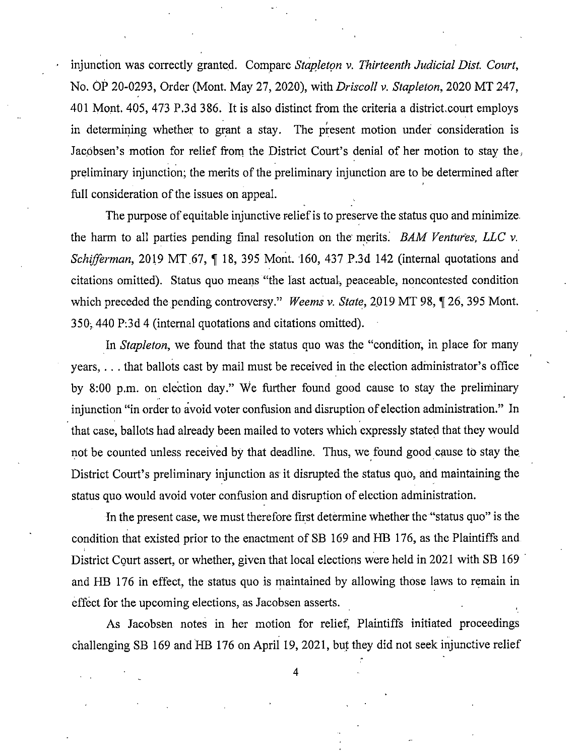injunction was correctly granted. Compare Stapleton v. Thirteenth Judicial Dist. Court, No. OP 20-0293, Order (Mont. May 27, 2020), with Driscoll v. Stapleton, 2020 MT 247, 401 Mont. 405, 473 P.3d 386. It is also distinct from the criteria a district.court employs in determining whether to grant a stay. The present motion under consideration is Jacobsen's motion for relief from the District Court's denial of her motion to stay the, preliminary injunction; the merits of the preliminary injunction are to be determined after full consideration of the issues on appeal.

The purpose of equitable injunctive relief is to preserve the status quo and minimize the harm to all parties pending final resolution on the merits. BAM Ventures, LLC  $\nu$ . Schifferman, 2019 MT 67, ¶ 18, 395 Mont. 160, 437 P.3d 142 (internal quotations and citations omitted). Status quo means "the last actual, peaceable, noncontested condition which preceded the pending controversy." Weems v. State, 2019 MT 98, ¶ 26, 395 Mont. 350, 440 P:3d 4 (internal quotations and citations omitted).

In *Stapleton*, we found that the status quo was the "condition, in place for many years, . . . that ballots cast by mail must be received in the election administrator's office by 8:00 p.m. on election day." We further found good cause to stay the preliminary injunction "in order to avoid voter confusion and disruption of election administration." In that case, ballots had already been mailed to voters which expressly stated that they would not be counted unless received by that deadline. Thus, we found good cause to stay the District Court's preliminary injunction as it disrupted the status quo, and maintaining the status quo would avoid voter confusion and disruption of election administration.

In the present case, we must therefore first determine whether the "status quo" is the condition that existed prior to the enactment of SB 169 and HB 176, as the Plaintiffs and District Court assert, or whether, given that local elections were held in 2021 with SB 169 and HB 176 in effect, the status quo is rnaintained by allowing those laws to remain in effect for the upcoming elections, as Jacobsen asserts.

As Jacobsen notes in her motion for relief, Plaintiffs initiated proceedings challenging SB 169 and HB 176 on April 19, 2021, but they did not seek injunctive relief

4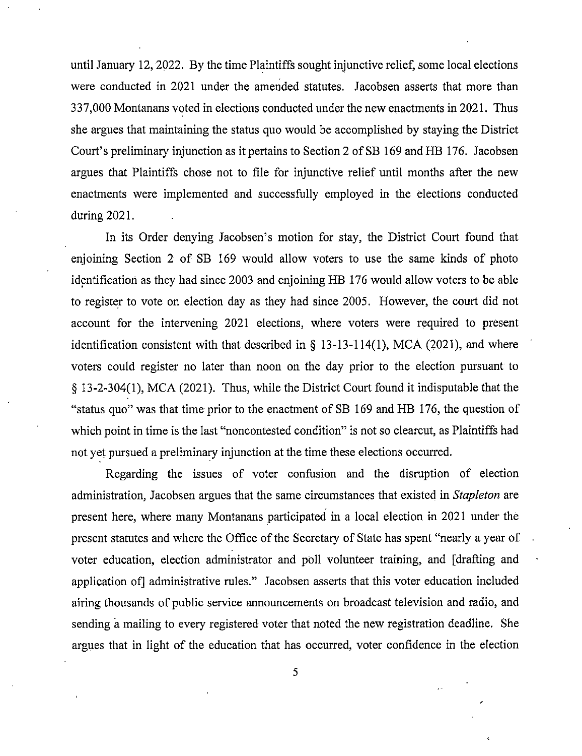until January 12, 2022. By the time Plaintiffs sought injunctive relief, some local elections were conducted in 2021 under the amended statutes. Jacobsen asserts that more than 337,000 Montanans voted in elections conducted under the new enactments in 2021. Thus she argues that maintaining the status quo would be accomplished by staying the District Court's preliminary injunction as it pertains to Section 2 of SB 169 and HB 176. Jacobsen argues that Plaintiffs chose not to file for injunctive relief until months after the new enactments were implemented and successfully employed in the elections conducted during 2021.

In its Order denying Jacobsen's motion for stay, the District Court found that enjoining Section 2 of SB 169 would allow voters to use the same kinds of photo identification as they had since 2003 and enjoining HB 176 would allow voters to be able to register to vote on election day as they had since 2005. However, the court did not account for the intervening 2021 elections, where voters were required to present identification consistent with that described in § 13-13-114(1), MCA (2021), and where voters could register no later than noon on the day prior to the election pursuant to § 13-2-304(1), MCA (2021). Thus, while the District Court found it indisputable that the "status quo" was that time prior to the enactment of SB 169 and HB 176, the question of which point in time is the last "noncontested condition" is not so clearcut, as Plaintiffs had not yet pursued a preliminary injunction at the time these elections occurred.

Regarding the issues of voter confusion and the disruption of election administration, Jacobsen argues that the same circumstances that existed in Stapleton are present here, where many Montanans participated in a local election in 2021 under the present statutes and where the Office of the Secretary of State has spent "nearly a year of voter education, election administrator and poll volunteer training, and [drafting and application of] administrative rules." Jacobsen asserts that this voter education included airing thousands of public service announcements on broadcast television and radio, and sending a mailing to every registered voter that noted the new registration deadline. She argues that in light of the education that has occurred, voter confidence in the election

5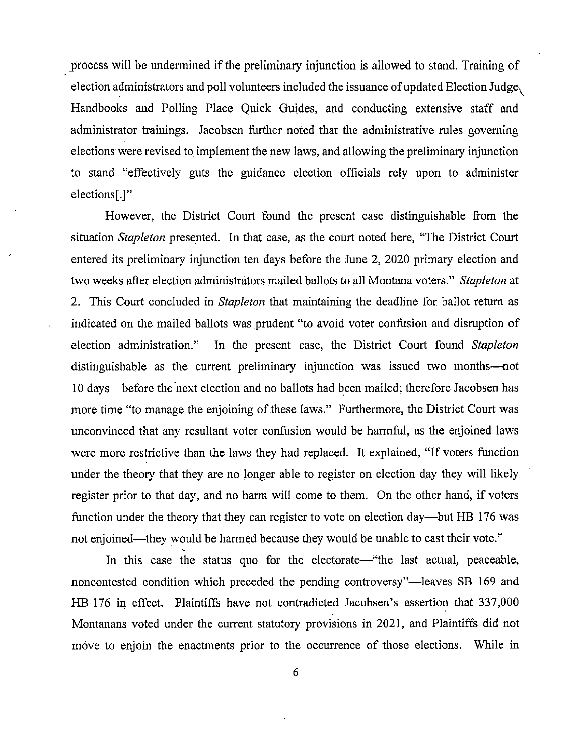process will be undermined if the preliminary injunction is allowed to stand. Training of election administrators and poll volunteers included the issuance of updated Election Judge\ Handbooks and Polling Place Quick Guides, and conducting extensive staff and administrator trainings. Jacobsen further noted that the administrative rules governing elections were revised to implement the new laws, and allowing the preliminary injunction to stand "effectively guts the guidance election officials rely upon to administer elections[.]"

However, the District Court found the present case distinguishable from the situation Stapleton presented.. In that case, as the court noted here, "The District Court entered its preliminary injunction ten days before the June 2, 2020 primary election and two weeks after election administrators mailed ballots to all Montana voters." Stapleton at 2. This Court concluded in *Stapleton* that maintaining the deadline for ballot return as indicated on the mailed ballots was prudent "to avoid voter confusion and disruption of election administration." In the present case, the District Court found Stapleton distinguishable as the current preliminary injunction was issued two months—not 10 days before the next election and no ballots had been mailed; therefore Jacobsen has more time "to manage the enjoining of these laws." Furthermore, the District Court was unconvinced that any resultant voter confusion would be harmfid, as the enjoined laws were more restrictive than the laws they had replaced. It explained, "If voters function under the theory that they are no longer able to register on election day they will likely register prior to that day, and no harm will come to them. On the other hand, if voters function under the theory that they can register to vote on election day—but HB 176 was not enjoined—they would be harmed because they would be unable to cast their vote."

In this case the status quo for the electorate—"the last actual, peaceable, noncontested condition which preceded the pending controversy"—leaves SB 169 and HB 176 in effect. Plaintiffs have not contradicted Jacobsen's assertion that 337,000 Montanans voted under the current statutory provisions in 2021, and Plaintiffs did not move to enjoin the enactments prior to the occurrence of those elections. While in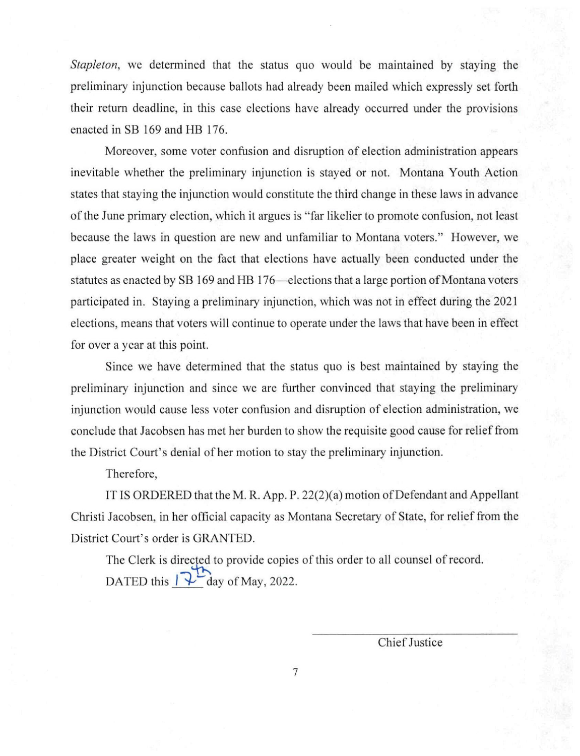Stapleton, we determined that the status quo would be maintained by staying the preliminary injunction because ballots had already been mailed which expressly set forth their return deadline, in this case elections have already occurred under the provisions enacted in SB 169 and HB 176.

Moreover, some voter confusion and disruption of election administration appears inevitable whether the preliminary injunction is stayed or not. Montana Youth Action states that staying the injunction would constitute the third change in these laws in advance of the June primary election, which it argues is "far likelier to promote confusion, not least because the laws in question are new and unfamiliar to Montana voters." However, we place greater weight on the fact that elections have actually been conducted under the statutes as enacted by SB 169 and HB 176—elections that a large portion of Montana voters participated in. Staying a preliminary injunction, which was not in effect during the 2021 elections, means that voters will continue to operate under the laws that have been in effect for over a year at this point.

Since we have determined that the status quo is best maintained by staying the preliminary injunction and since we are further convinced that staying the preliminary injunction would cause less voter confusion and disruption of election administration, we conclude that Jacobsen has met her burden to show the requisite good cause for relief from the District Court's denial of her motion to stay the preliminary injunction.

Therefore,

IT IS ORDERED that the M. R. App. P. 22(2)(a) motion of Defendant and Appellant Christi Jacobsen, in her official capacity as Montana Secretary of State, for relief from the District Court's order is GRANTED.

The Clerk is directed to provide copies of this order to all counsel of record. DATED this  $\sqrt{2}$  day of May, 2022.

Chief Justice